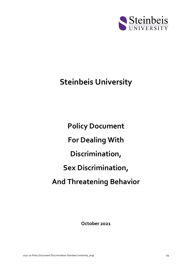

# **Steinbeis University**

**Policy Document For Dealing With Discrimination, Sex Discrimination, And Threatening Behavior**

**October 2021**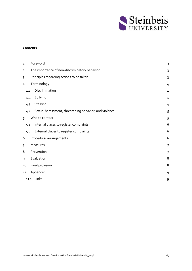

#### **Contents**

| $\mathbf{1}$   |     | Foreword                                              | 3              |
|----------------|-----|-------------------------------------------------------|----------------|
| $\overline{2}$ |     | The importance of non-discriminatory behavior         | 3              |
| 3              |     | Principles regarding actions to be taken              | 3              |
| 4              |     | Terminology                                           | 4              |
|                | 4.1 | Discrimination                                        | 4              |
|                | 4.2 | <b>Bullying</b>                                       | 4              |
|                | 4.3 | Stalking                                              | 4              |
|                | 4.4 | Sexual harassment, threatening behavior, and violence | 5              |
| 5              |     | Who to contact                                        | 5              |
|                | 5.1 | Internal places to register complaints                | 6              |
|                | 5.2 | External places to register complaints                | 6              |
| 6              |     | Procedural arrangements                               | 6              |
| 7              |     | Measures                                              | $\overline{7}$ |
| 8              |     | Prevention                                            | $\overline{7}$ |
| 9              |     | Evaluation                                            | 8              |
| 10             |     | Final provision                                       | 8              |
| 11             |     | Appendix                                              | 9              |
|                |     | 11.1 Links                                            | 9              |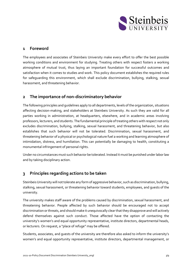

## <span id="page-2-0"></span>**1 Foreword**

The employees and associates of Steinbeis University make every effort to offer the best possible working conditions and environment for studying. Treating others with respect fosters a working atmosphere of mutual trust, thus laying an important foundation for successful outcomes and satisfaction when it comes to studies and work. This policy document establishes the required rules for safeguarding this environment, which shall exclude discrimination, bullying, stalking, sexual harassment, and threatening behavior.

# <span id="page-2-1"></span>**2 The importance of non-discriminatory behavior**

The following principles and guidelines apply to all departments, levels of the organization, situations affecting decision-making, and stakeholders at Steinbeis University. As such they are valid for all parties working in administration, at headquarters, elsewhere, and in academic areas involving professors, lecturers, and students. The fundamental principle of treating others with respect not only excludes discrimination, bullying, stalking, sexual harassment, and threatening behavior, but also establishes that such behavior will not be tolerated. Discrimination, sexual harassment, and threatening behavior of a physical or psychological nature fuel a working and learning atmosphere of intimidation, distress, and humiliation. This can potentially be damaging to health, constituting a monumental infringement of personal rights.

Under no circumstances must such behavior be tolerated. Instead it must be punished under labor law and by taking disciplinary action.

# <span id="page-2-2"></span>**3 Principles regarding actions to be taken**

Steinbeis University will not tolerate any form of aggressive behavior, such as discrimination, bullying, stalking, sexual harassment, or threatening behavior toward students, employees, and guests of the university.

The university makes staff aware of the problems caused by discrimination, sexual harassment, and threatening behavior. People affected by such behavior should be encouraged not to accept discrimination or threats, and should make it unequivocally clear that they disapprove and will actively defend themselves against such conduct. Those affected have the option of contacting the university's women's and equal opportunity representative, institute directors, departmental heads, or lecturers. On request, a "place of refuge" may be offered.

Students, associates, and guests of the university are therefore also asked to inform the university's women's and equal opportunity representative, institute directors, departmental management, or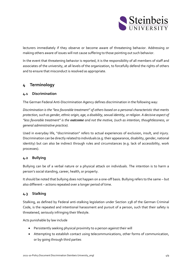

lecturers immediately if they observe or become aware of threatening behavior. Addressing or making others aware of issues will not cause suffering to those pointing out such behavior.

In the event that threatening behavior is reported, it is the responsibility of all members of staff and associates of the university, at all levels of the organization, to forcefully defend the rights of others and to ensure that misconduct is resolved as appropriate.

# <span id="page-3-0"></span>**4 Terminology**

### <span id="page-3-1"></span>**4.1 Discrimination**

The German Federal Anti-Discrimination Agency defines discrimination in the following way:

*Discrimination is the "less favorable treatment" of others based on a personal characteristic that merits protection, such as gender, ethnic origin, age, a disability, sexual identity, or religion. A decisive aspect of "less favorable treatment" is the outcome and not the motive, (such as intention, thoughtlessness, or general administrative practice).*

Used in everyday life, "discrimination" refers to actual experiences of exclusion, insult, and injury. Discrimination can be directly related to individuals (e.g. their appearance, disability, gender, national identity) but can also be indirect through rules and circumstances (e.g. lack of accessibility, work processes).

## <span id="page-3-2"></span>**4.2 Bullying**

Bullying can be of a verbal nature or a physical attack on individuals. The intention is to harm a person's social standing, career, health, or property.

It should be noted that bullying does not happen on a one-off basis. Bullying refers to the same – but also different – actions repeated over a longer period of time.

#### <span id="page-3-3"></span>**4.3 Stalking**

Stalking, as defined by Federal anti-stalking legislation under Section 238 of the German Criminal Code, is the repeated and intentional harassment and pursuit of a person, such that their safety is threatened, seriously infringing their lifestyle.

Acts punishable by law include

- Persistently seeking physical proximity to a person against their will
- Attempting to establish contact using telecommunications, other forms of communication, or by going through third parties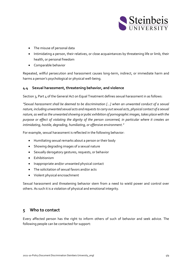

- The misuse of personal data
- Intimidating a person, their relatives, or close acquaintances by threatening life or limb, their health, or personal freedom
- Comparable behavior

Repeated, willful persecution and harassment causes long-term, indirect, or immediate harm and harms a person's psychological or physical well-being.

#### <span id="page-4-0"></span>**4.4 Sexual harassment, threatening behavior, and violence**

Section 3, Part 4 of the General Act on Equal Treatment defines sexual harassment in as follows:

*"Sexual harassment shall be deemed to be discrimination [...] when an unwanted conduct of a sexual nature, including unwanted sexual acts and requests to carry out sexual acts, physical contact of a sexual nature, as well as the unwanted showing or pubic exhibition of pornographic images, takes place with the purpose or effect of violating the dignity of the person concerned, in particular where it creates an intimidating, hostile, degrading, humiliating, or offensive environment."*

For example, sexual harassment is reflected in the following behavior:

- Humiliating sexual remarks about a person or their body
- Showing degrading images of a sexual nature
- Sexually derogatory gestures, requests, or behavior
- Exhibitionism
- Inappropriate and/or unwanted physical contact
- The solicitation of sexual favors and/or acts
- Violent physical encroachment

Sexual harassment and threatening behavior stem from a need to wield power and control over others. As such it is a violation of physical and emotional integrity.

## <span id="page-4-1"></span>**5 Who to contact**

Every affected person has the right to inform others of such of behavior and seek advice. The following people can be contacted for support: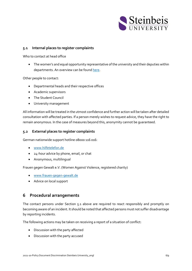

#### <span id="page-5-0"></span>**5.1 Internal places to register complaints**

Who to contact at head office

• The women's and equal opportunity representative of the university and their deputies within departments. An overview can be foun[d here.](https://www.steinbeis-hochschule.de/Studium-Studierende/Allgemeine-Informationen/Frauen-und-Gleichstellungsbeauftragte)

Other people to contact:

- Departmental heads and their respective offices
- Academic supervisors
- The Student Council
- University management

All information will be treated in the utmost confidence and further action will be taken after detailed consultation with affected parties. If a person merely wishes to request advice, they have the right to remain anonymous. In the case of measures beyond this, anonymity cannot be guaranteed.

#### <span id="page-5-1"></span>**5.2 External places to register complaints**

German nationwide support hotline 08000 116 016:

- [www.hilfetelefon.de](http://www.hilfetelefon.de/)
- 24-hour advice by phone, email, or chat
- Anonymous, multilingual

Frauen gegen Gewalt e.V. (Women Against Violence, registered charity)

- [www.frauen-gegen-gewalt.de](http://www.frauen-gegen-gewalt.de/)
- Advice on local support

## <span id="page-5-2"></span>**6 Procedural arrangements**

The contact persons under Section 5.1 above are required to react responsibly and promptly on becoming aware of an incident. It should be noted that affected persons must not suffer disadvantage by reporting incidents.

The following actions may be taken on receiving a report of a situation of conflict:

- Discussion with the party affected
- Discussion with the party accused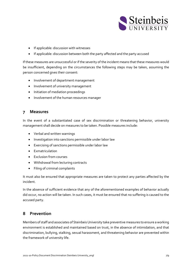

- If applicable: discussion with witnesses
- If applicable: discussion between both the party affected and the party accused

If these measures are unsuccessful or if the severity of the incident means that these measures would be insufficient, depending on the circumstances the following steps may be taken, assuming the person concerned gives their consent:

- Involvement of department management
- Involvement of university management
- Initiation of mediation proceedings
- Involvement of the human resources manager

## <span id="page-6-0"></span>**7 Measures**

In the event of a substantiated case of sex discrimination or threatening behavior, university management shall decide on measures to be taken. Possible measures include:

- Verbal and written warnings
- Investigation into sanctions permissible under labor law
- Exercising of sanctions permissible under labor law
- Exmatriculation
- Exclusion from courses
- Withdrawal from lecturing contracts
- Filing of criminal complaints

It must also be ensured that appropriate measures are taken to protect any parties affected by the incident.

In the absence of sufficient evidence that any of the aforementioned examples of behavior actually did occur, no action will be taken. In such cases, it must be ensured that no suffering is caused to the accused party.

## <span id="page-6-1"></span>**8 Prevention**

Members of staff and associates of Steinbeis University take preventive measures to ensure a working environment is established and maintained based on trust, in the absence of intimidation, and that discrimination, bullying, stalking, sexual harassment, and threatening behavior are prevented within the framework of university life.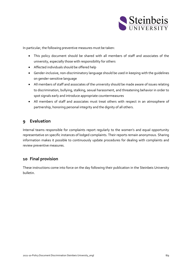

In particular, the following preventive measures must be taken:

- This policy document should be shared with all members of staff and associates of the university, especially those with responsibility for others
- Affected individuals should be offered help
- Gender-inclusive, non-discriminatory language should be used in keeping with the guidelines on gender-sensitive language
- All members of staff and associates of the university should be made aware of issues relating to discrimination, bullying, stalking, sexual harassment, and threatening behavior in order to spot signals early and introduce appropriate countermeasures
- All members of staff and associates must treat others with respect in an atmosphere of partnership, honoring personal integrity and the dignity of all others.

# <span id="page-7-0"></span>**9 Evaluation**

Internal teams responsible for complaints report regularly to the women's and equal opportunity representative on specific instances of lodged complaints. Their reports remain anonymous. Sharing information makes it possible to continuously update procedures for dealing with complaints and review preventive measures.

## <span id="page-7-1"></span>**10 Final provision**

These instructions come into force on the day following their publication in the Steinbeis University bulletin.